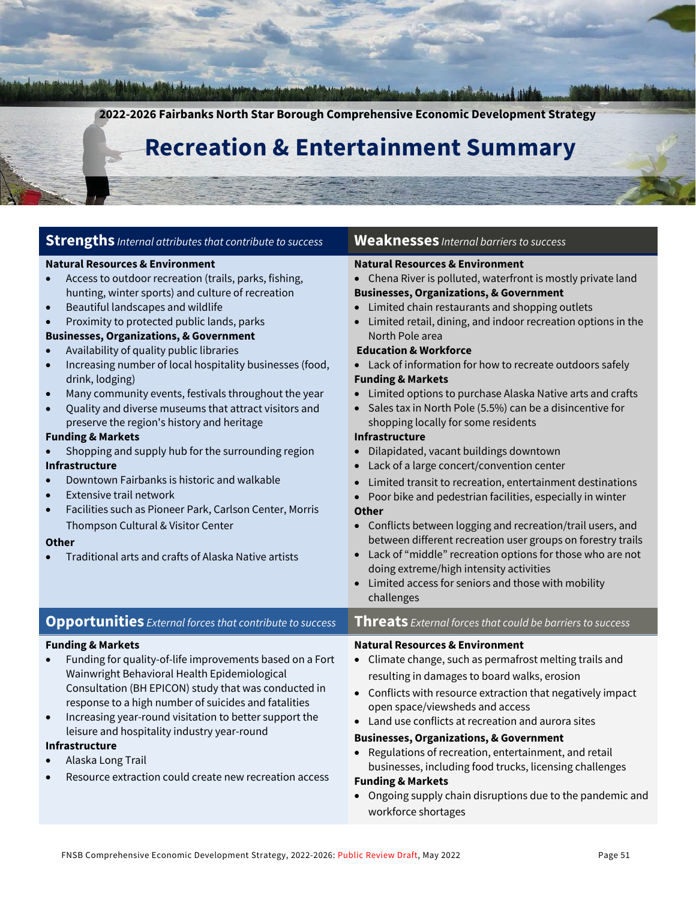**2022-2026 Fairbanks North Star Borough Comprehensive Economic Development Strategy Recreation & Entertainment Summary Strengths** *Internal attributes that contribute to success* **Weaknesses** *Internal barriers to success* **Natural Resources & Environment** • Access to outdoor recreation (trails, parks, fishing, hunting, winter sports) and culture of recreation • Beautiful landscapes and wildlife • Proximity to protected public lands, parks **Businesses, Organizations, & Government** • Availability of quality public libraries • Increasing number of local hospitality businesses (food, drink, lodging) • Many community events, festivals throughout the year • Quality and diverse museums that attract visitors and preserve the region's history and heritage **Funding & Markets** • Shopping and supply hub for the surrounding region **Infrastructure**  • Downtown Fairbanks is historic and walkable **Extensive trail network** • Facilities such as Pioneer Park, Carlson Center, Morris Thompson Cultural & Visitor Center **Other** • Traditional arts and crafts of Alaska Native artists **Natural Resources & Environment** • Chena River is polluted, waterfront is mostly private land **Businesses, Organizations, & Government** • Limited chain restaurants and shopping outlets • Limited retail, dining, and indoor recreation options in the North Pole area  **Education & Workforce** Lack of information for how to recreate outdoors safely **Funding & Markets** • Limited options to purchase Alaska Native arts and crafts • Sales tax in North Pole (5.5%) can be a disincentive for shopping locally for some residents **Infrastructure**  • Dilapidated, vacant buildings downtown • Lack of a large concert/convention center • Limited transit to recreation, entertainment destinations • Poor bike and pedestrian facilities, especially in winter **Other** • Conflicts between logging and recreation/trail users, and between different recreation user groups on forestry trails • Lack of "middle" recreation options for those who are not doing extreme/high intensity activities • Limited access for seniors and those with mobility challenges **Opportunities** *External forces that contribute to success* **Threats** *External forces that could be barriers to success* **Funding & Markets** • Funding for quality-of-life improvements based on a Fort Wainwright Behavioral Health Epidemiological Consultation (BH EPICON) study that was conducted in response to a high number of suicides and fatalities • Increasing year-round visitation to better support the leisure and hospitality industry year-round **Infrastructure**  • Alaska Long Trail • Resource extraction could create new recreation access **Natural Resources & Environment** • Climate change, such as permafrost melting trails and resulting in damages to board walks, erosion • Conflicts with resource extraction that negatively impact open space/viewsheds and access • Land use conflicts at recreation and aurora sites **Businesses, Organizations, & Government** • Regulations of recreation, entertainment, and retail businesses, including food trucks, licensing challenges **Funding & Markets** • Ongoing supply chain disruptions due to the pandemic and workforce shortages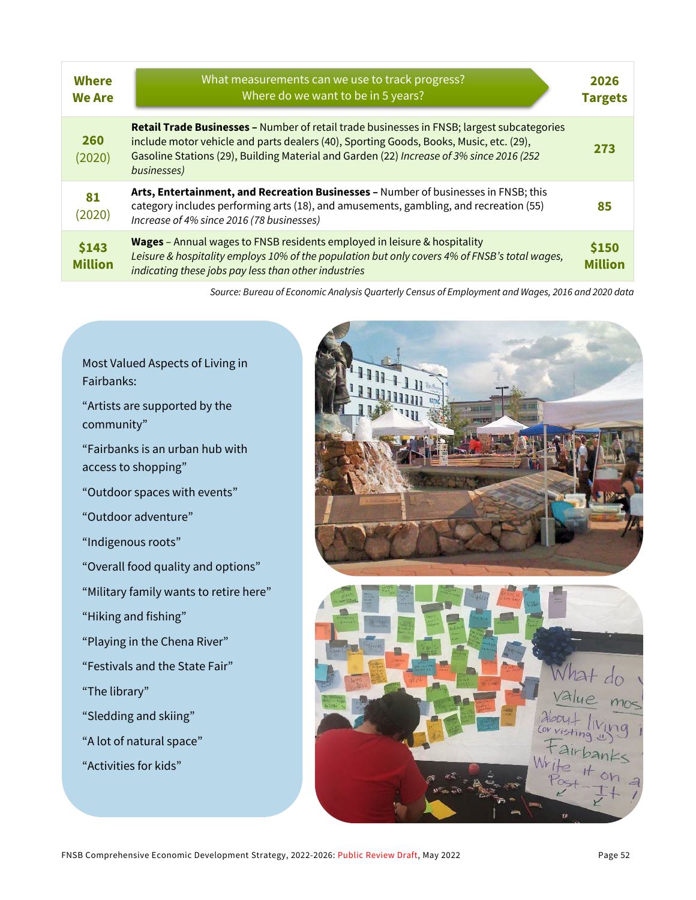| <b>Where</b><br><b>We Are</b> | What measurements can we use to track progress?<br>Where do we want to be in 5 years?                                                                                                                                                                                                           | 2026<br><b>Targets</b>  |
|-------------------------------|-------------------------------------------------------------------------------------------------------------------------------------------------------------------------------------------------------------------------------------------------------------------------------------------------|-------------------------|
| <b>260</b><br>(2020)          | Retail Trade Businesses - Number of retail trade businesses in FNSB; largest subcategories<br>include motor vehicle and parts dealers (40), Sporting Goods, Books, Music, etc. (29),<br>Gasoline Stations (29), Building Material and Garden (22) Increase of 3% since 2016 (252<br>businesses) | 273                     |
| 81<br>(2020)                  | Arts, Entertainment, and Recreation Businesses - Number of businesses in FNSB; this<br>category includes performing arts (18), and amusements, gambling, and recreation (55)<br>Increase of 4% since 2016 (78 businesses)                                                                       | 85                      |
| \$143<br><b>Million</b>       | Wages - Annual wages to FNSB residents employed in leisure & hospitality<br>Leisure & hospitality employs 10% of the population but only covers 4% of FNSB's total wages,<br>indicating these jobs pay less than other industries                                                               | \$150<br><b>Million</b> |

*Source: Bureau of Economic Analysis Quarterly Census of Employment and Wages, 2016 and 2020 data*

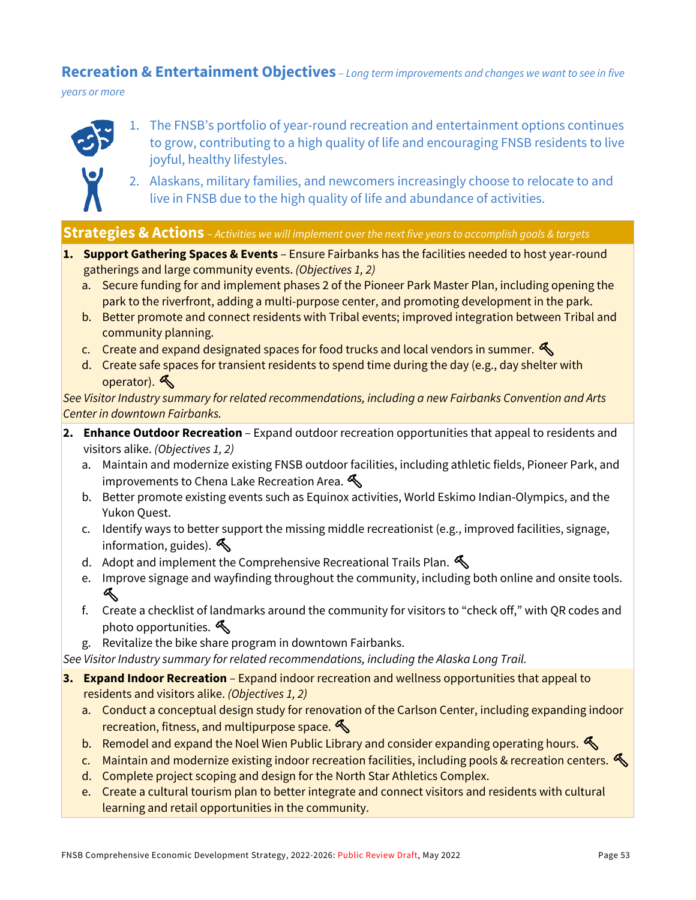#### **Recreation & Entertainment Objectives** *– Long term improvements and changes we want to see in five*

*years or more*



- 1. The FNSB's portfolio of year-round recreation and entertainment options continues to grow, contributing to a high quality of life and encouraging FNSB residents to live joyful, healthy lifestyles.
- 2. Alaskans, military families, and newcomers increasingly choose to relocate to and live in FNSB due to the high quality of life and abundance of activities.

#### **Strategies & Actions** – *Activities we will implement over the next five years to accomplish goals & targets*

- **1. Support Gathering Spaces & Events** Ensure Fairbanks has the facilities needed to host year-round gatherings and large community events. *(Objectives 1, 2)*
	- a. Secure funding for and implement phases 2 of the Pioneer Park Master Plan, including opening the park to the riverfront, adding a multi-purpose center, and promoting development in the park.
	- b. Better promote and connect residents with Tribal events; improved integration between Tribal and community planning.
	- c. Create and expand designated spaces for food trucks and local vendors in summer.  $\mathcal{L}$
	- d. Create safe spaces for transient residents to spend time during the day (e.g., day shelter with operator).

*See Visitor Industry summary for related recommendations, including a new Fairbanks Convention and Arts Center in downtown Fairbanks.*

- **2. Enhance Outdoor Recreation** Expand outdoor recreation opportunities that appeal to residents and visitors alike. *(Objectives 1, 2)*
	- a. Maintain and modernize existing FNSB outdoor facilities, including athletic fields, Pioneer Park, and improvements to Chena Lake Recreation Area.  $\mathcal{L}$
	- b. Better promote existing events such as Equinox activities, World Eskimo Indian-Olympics, and the Yukon Quest.
	- c. Identify ways to better support the missing middle recreationist (e.g., improved facilities, signage, information, guides).  $\mathcal{S}$
	- d. Adopt and implement the Comprehensive Recreational Trails Plan.  $\triangle$
	- e. Improve signage and wayfinding throughout the community, including both online and onsite tools.  $\mathbb{R}$
	- f. Create a checklist of landmarks around the community for visitors to "check off," with QR codes and photo opportunities.
	- g. Revitalize the bike share program in downtown Fairbanks.

*See Visitor Industry summary for related recommendations, including the Alaska Long Trail.*

- **3. Expand Indoor Recreation** Expand indoor recreation and wellness opportunities that appeal to residents and visitors alike. *(Objectives 1, 2)*
	- a. Conduct a conceptual design study for renovation of the Carlson Center, including expanding indoor recreation, fitness, and multipurpose space.
	- b. Remodel and expand the Noel Wien Public Library and consider expanding operating hours.
	- c. Maintain and modernize existing indoor recreation facilities, including pools & recreation centers.
	- d. Complete project scoping and design for the North Star Athletics Complex.
	- e. Create a cultural tourism plan to better integrate and connect visitors and residents with cultural learning and retail opportunities in the community.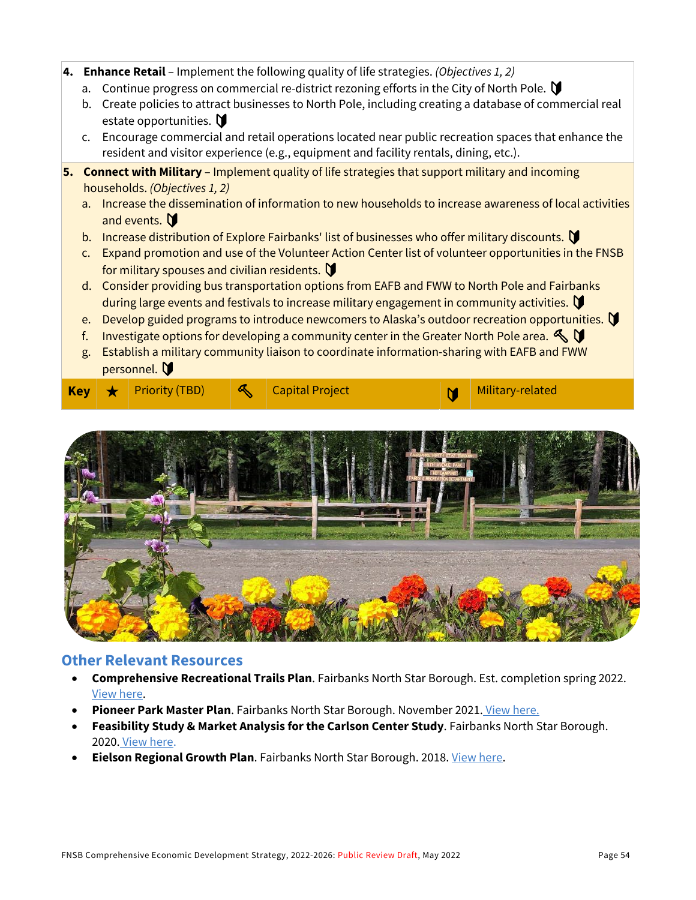- **4. Enhance Retail**  Implement the following quality of life strategies. *(Objectives 1, 2)*
	- a. Continue progress on commercial re-district rezoning efforts in the City of North Pole.  $\mathbf \nabla$
	- b. Create policies to attract businesses to North Pole, including creating a database of commercial real estate opportunities.  $\blacksquare$
	- c. Encourage commercial and retail operations located near public recreation spaces that enhance the resident and visitor experience (e.g., equipment and facility rentals, dining, etc.).
- **5. Connect with Military** Implement quality of life strategies that support military and incoming households. *(Objectives 1, 2)*
	- a. Increase the dissemination of information to new households to increase awareness of local activities and events.
	- b. Increase distribution of Explore Fairbanks' list of businesses who offer military discounts.
	- c. Expand promotion and use of the Volunteer Action Center list of volunteer opportunities in the FNSB for military spouses and civilian residents.  $\blacksquare$
	- d. Consider providing bus transportation options from EAFB and FWW to North Pole and Fairbanks during large events and festivals to increase military engagement in community activities.
	- e. Develop guided programs to introduce newcomers to Alaska's outdoor recreation opportunities.
	- f. Investigate options for developing a community center in the Greater North Pole area.  $\mathbb{S}$   $\mathbb{U}$
	- g. Establish a military community liaison to coordinate information-sharing with EAFB and FWW personnel. V

|  |  | $\begin{array}{c c c c c} \text{Key} & \text{H} & \text{Priority (TBD)} & \text{M} & \text{Capital Project} \end{array}$ |  |  |  |  | Military-related |
|--|--|--------------------------------------------------------------------------------------------------------------------------|--|--|--|--|------------------|
|--|--|--------------------------------------------------------------------------------------------------------------------------|--|--|--|--|------------------|



#### **Other Relevant Resources**

- **Comprehensive Recreational Trails Plan**. Fairbanks North Star Borough. Est. completion spring 2022. [View here.](https://www.fnsbtrailsplan.com/)
- **Pioneer Park Master Plan**. Fairbanks North Star Borough. November 2021. [View here.](https://www.fairbankspioneerparkplan.com/)
- **Feasibility Study & Market Analysis for the Carlson Center Study**. Fairbanks North Star Borough. 2020. [View here.](https://fairbanksak.myrec.com/documents/fnsb_carlson_center_study_12_2020.pdf)
- **Eielson Regional Growth Plan**. Fairbanks North Star Borough. 2018[. View here.](http://www.eafbregionalgrowth.com/)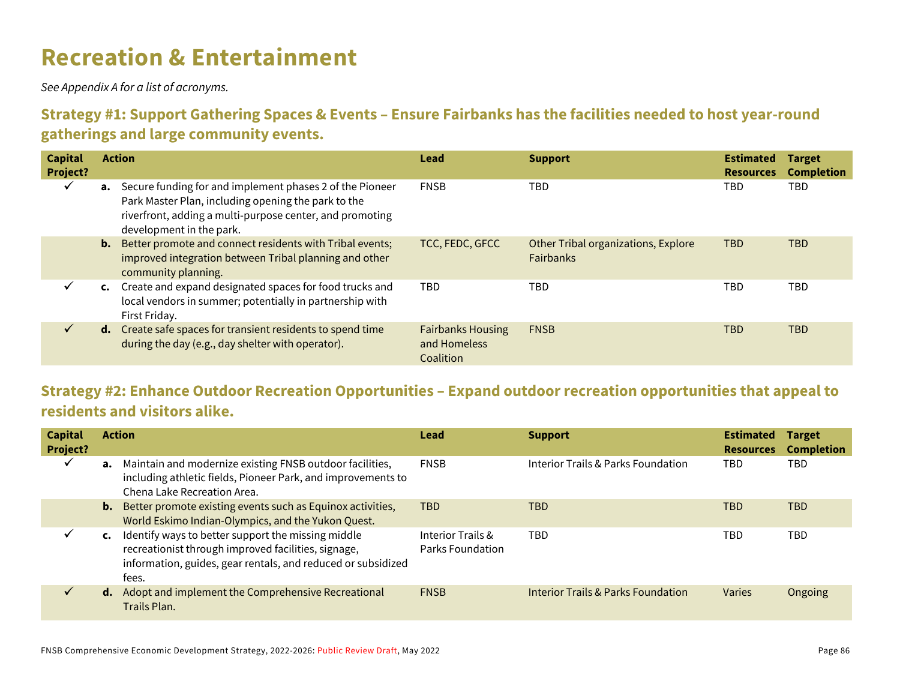# **Recreation & Entertainment**

*See Appendix A for a list of acronyms.*

#### **Strategy #1: Support Gathering Spaces & Events – Ensure Fairbanks has the facilities needed to host year-round gatherings and large community events.**

| <b>Capital</b><br>Project? | <b>Action</b>                                                                                                                                                                                                     | Lead                                                  | <b>Support</b>                                          | <b>Estimated</b><br><b>Resources</b> | <b>Target</b><br><b>Completion</b> |
|----------------------------|-------------------------------------------------------------------------------------------------------------------------------------------------------------------------------------------------------------------|-------------------------------------------------------|---------------------------------------------------------|--------------------------------------|------------------------------------|
| $\checkmark$               | <b>a.</b> Secure funding for and implement phases 2 of the Pioneer<br>Park Master Plan, including opening the park to the<br>riverfront, adding a multi-purpose center, and promoting<br>development in the park. | <b>FNSB</b>                                           | TBD                                                     | TBD                                  | TBD                                |
|                            | <b>b.</b> Better promote and connect residents with Tribal events;<br>improved integration between Tribal planning and other<br>community planning.                                                               | TCC, FEDC, GFCC                                       | Other Tribal organizations, Explore<br><b>Fairbanks</b> | <b>TBD</b>                           | <b>TBD</b>                         |
| ✓                          | c. Create and expand designated spaces for food trucks and<br>local vendors in summer; potentially in partnership with<br>First Friday.                                                                           | <b>TBD</b>                                            | TBD                                                     | TBD                                  | TBD                                |
| $\checkmark$               | d. Create safe spaces for transient residents to spend time<br>during the day (e.g., day shelter with operator).                                                                                                  | <b>Fairbanks Housing</b><br>and Homeless<br>Coalition | <b>FNSB</b>                                             | TBD                                  | <b>TBD</b>                         |

#### **Strategy #2: Enhance Outdoor Recreation Opportunities – Expand outdoor recreation opportunities that appeal to residents and visitors alike.**

| <b>Capital</b><br>Project? |                | <b>Action</b>                                                                                                                                                                      | Lead                                  | <b>Support</b>                     | <b>Estimated</b><br><b>Resources</b> | <b>Target</b><br><b>Completion</b> |
|----------------------------|----------------|------------------------------------------------------------------------------------------------------------------------------------------------------------------------------------|---------------------------------------|------------------------------------|--------------------------------------|------------------------------------|
| $\checkmark$               |                | <b>a.</b> Maintain and modernize existing FNSB outdoor facilities,<br>including athletic fields, Pioneer Park, and improvements to<br>Chena Lake Recreation Area.                  | <b>FNSB</b>                           | Interior Trails & Parks Foundation | TBD                                  | TBD                                |
|                            | b.             | Better promote existing events such as Equinox activities,<br>World Eskimo Indian-Olympics, and the Yukon Quest.                                                                   | <b>TBD</b>                            | TBD                                | <b>TBD</b>                           | <b>TBD</b>                         |
|                            | $\mathsf{c}$ . | Identify ways to better support the missing middle<br>recreationist through improved facilities, signage,<br>information, guides, gear rentals, and reduced or subsidized<br>fees. | Interior Trails &<br>Parks Foundation | <b>TBD</b>                         | TBD                                  | TBD                                |
|                            | $\mathbf{d}$ . | Adopt and implement the Comprehensive Recreational<br>Trails Plan.                                                                                                                 | <b>FNSB</b>                           | Interior Trails & Parks Foundation | <b>Varies</b>                        | Ongoing                            |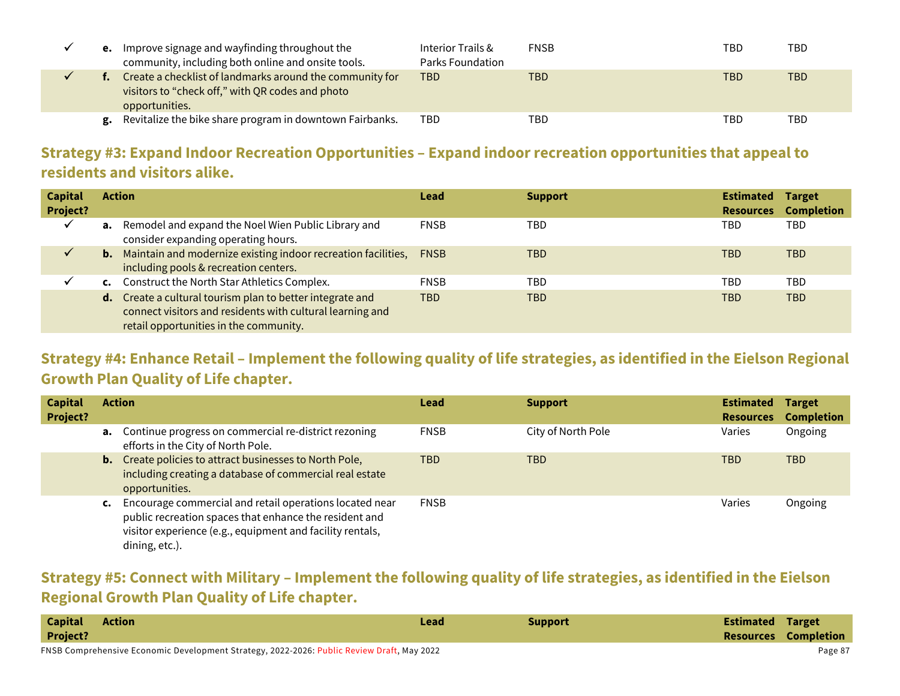|    | <b>e.</b> Improve signage and wayfinding throughout the<br>community, including both online and onsite tools.                  | Interior Trails &<br>Parks Foundation | <b>FNSB</b> | TBD | TBD |
|----|--------------------------------------------------------------------------------------------------------------------------------|---------------------------------------|-------------|-----|-----|
|    | Create a checklist of landmarks around the community for<br>visitors to "check off," with QR codes and photo<br>opportunities. | TBD                                   | TBD         | TBD | TBD |
| g. | Revitalize the bike share program in downtown Fairbanks.                                                                       | TBD                                   | TBD         | TBD | TBD |

## **Strategy #3: Expand Indoor Recreation Opportunities – Expand indoor recreation opportunities that appeal to residents and visitors alike.**

| <b>Capital</b><br>Project? | <b>Action</b>                                                                                                                                                    | Lead        | <b>Support</b> | <b>Estimated</b><br><b>Resources</b> | <b>Target</b><br><b>Completion</b> |
|----------------------------|------------------------------------------------------------------------------------------------------------------------------------------------------------------|-------------|----------------|--------------------------------------|------------------------------------|
|                            | a. Remodel and expand the Noel Wien Public Library and<br>consider expanding operating hours.                                                                    | <b>FNSB</b> | TBD            | TBD                                  | TBD                                |
| ✓                          | <b>b.</b> Maintain and modernize existing indoor recreation facilities,<br>including pools & recreation centers.                                                 | <b>FNSB</b> | TBD            | TBD                                  | <b>TBD</b>                         |
|                            | c. Construct the North Star Athletics Complex.                                                                                                                   | <b>FNSB</b> | TBD            | TBD                                  | TBD                                |
|                            | d. Create a cultural tourism plan to better integrate and<br>connect visitors and residents with cultural learning and<br>retail opportunities in the community. | <b>TBD</b>  | <b>TBD</b>     | TBD                                  | <b>TBD</b>                         |

### **Strategy #4: Enhance Retail – Implement the following quality of life strategies, as identified in the Eielson Regional Growth Plan Quality of Life chapter.**

| <b>Capital</b><br>Project? |    | <b>Action</b>                                                                                                                                                                                    | Lead        | <b>Support</b>     | <b>Estimated</b><br><b>Resources</b> | <b>Target</b><br><b>Completion</b> |
|----------------------------|----|--------------------------------------------------------------------------------------------------------------------------------------------------------------------------------------------------|-------------|--------------------|--------------------------------------|------------------------------------|
|                            |    | a. Continue progress on commercial re-district rezoning<br>efforts in the City of North Pole.                                                                                                    | <b>FNSB</b> | City of North Pole | Varies                               | Ongoing                            |
|                            |    | <b>b.</b> Create policies to attract businesses to North Pole,<br>including creating a database of commercial real estate<br>opportunities.                                                      | <b>TBD</b>  | <b>TBD</b>         | TBD                                  | <b>TBD</b>                         |
|                            | C. | Encourage commercial and retail operations located near<br>public recreation spaces that enhance the resident and<br>visitor experience (e.g., equipment and facility rentals,<br>dining, etc.). | <b>FNSB</b> |                    | Varies                               | Ongoing                            |

#### **Strategy #5: Connect with Military – Implement the following quality of life strategies, as identified in the Eielson Regional Growth Plan Quality of Life chapter.**

| <b>Capital</b>  | <b>Action</b>                                                                              | Lead | Support | <b>Estimated Target</b> |
|-----------------|--------------------------------------------------------------------------------------------|------|---------|-------------------------|
| <b>Project?</b> |                                                                                            |      |         | Resources Completion    |
|                 | FNSB Comprehensive Economic Development Strategy, 2022-2026: Public Review Draft, May 2022 |      |         | Page 87                 |